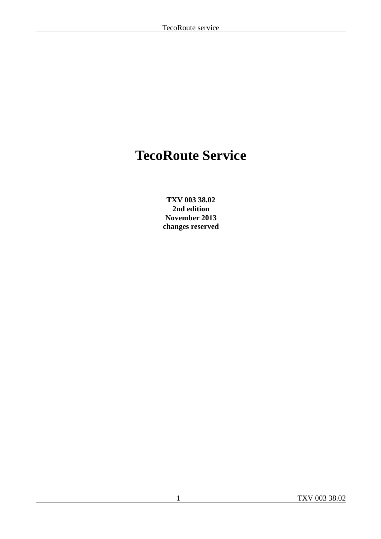# **TecoRoute Service**

**TXV 003 38.02 2nd edition November 2013 changes reserved**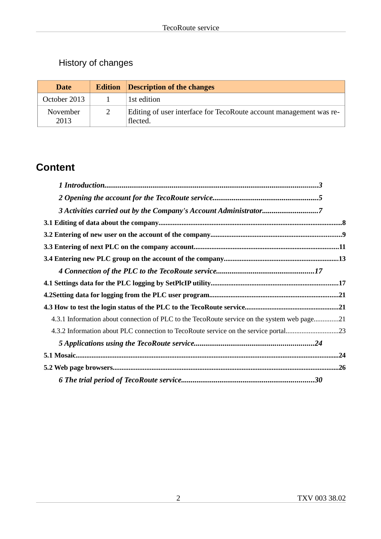# History of changes

| <b>Date</b>      | <b>Edition</b> | Description of the changes                                                     |
|------------------|----------------|--------------------------------------------------------------------------------|
| October 2013     |                | 1st edition                                                                    |
| November<br>2013 |                | Editing of user interface for TecoRoute account management was re-<br>flected. |

# **Content**

| 4.3.1 Information about connection of PLC to the TecoRoute service on the system web page21 |  |
|---------------------------------------------------------------------------------------------|--|
| 4.3.2 Information about PLC connection to TecoRoute service on the service portal23         |  |
|                                                                                             |  |
|                                                                                             |  |
|                                                                                             |  |
|                                                                                             |  |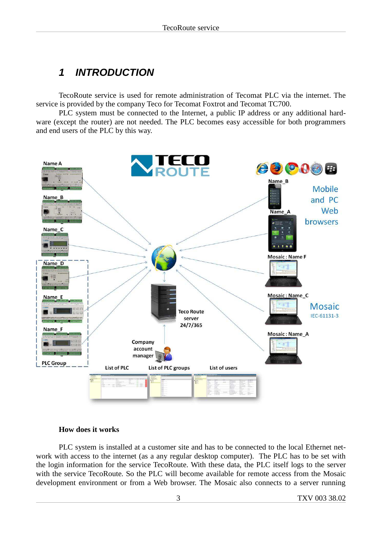# **1 INTRODUCTION**

TecoRoute service is used for remote administration of Tecomat PLC via the internet. The service is provided by the company Teco for Tecomat Foxtrot and Tecomat TC700.

PLC system must be connected to the Internet, a public IP address or any additional hardware (except the router) are not needed. The PLC becomes easy accessible for both programmers and end users of the PLC by this way.



#### **How does it works**

PLC system is installed at a customer site and has to be connected to the local Ethernet network with access to the internet (as a any regular desktop computer). The PLC has to be set with the login information for the service TecoRoute. With these data, the PLC itself logs to the server with the service TecoRoute. So the PLC will become available for remote access from the Mosaic development environment or from a Web browser. The Mosaic also connects to a server running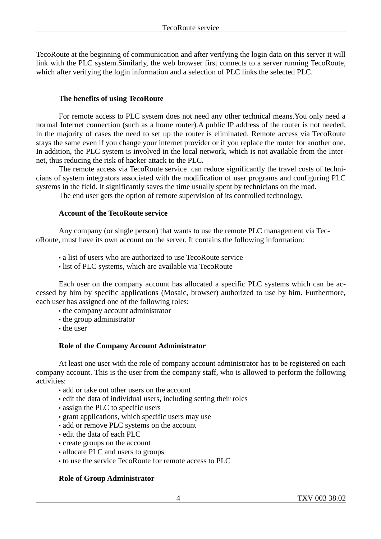TecoRoute at the beginning of communication and after verifying the login data on this server it will link with the PLC system.Similarly, the web browser first connects to a server running TecoRoute, which after verifying the login information and a selection of PLC links the selected PLC.

#### **The benefits of using TecoRoute**

For remote access to PLC system does not need any other technical means.You only need a normal Internet connection (such as a home router).A public IP address of the router is not needed, in the majority of cases the need to set up the router is eliminated. Remote access via TecoRoute stays the same even if you change your internet provider or if you replace the router for another one. In addition, the PLC system is involved in the local network, which is not available from the Internet, thus reducing the risk of hacker attack to the PLC.

The remote access via TecoRoute service can reduce significantly the travel costs of technicians of system integrators associated with the modification of user programs and configuring PLC systems in the field. It significantly saves the time usually spent by technicians on the road.

The end user gets the option of remote supervision of its controlled technology.

#### **Account of the TecoRoute service**

Any company (or single person) that wants to use the remote PLC management via TecoRoute, must have its own account on the server. It contains the following information:

- a list of users who are authorized to use TecoRoute service
- list of PLC systems, which are available via TecoRoute

Each user on the company account has allocated a specific PLC systems which can be accessed by him by specific applications (Mosaic, browser) authorized to use by him. Furthermore, each user has assigned one of the following roles:

- the company account administrator
- the group administrator
- the user

#### **Role of the Company Account Administrator**

At least one user with the role of company account administrator has to be registered on each company account. This is the user from the company staff, who is allowed to perform the following activities:

- add or take out other users on the account
- edit the data of individual users, including setting their roles
- assign the PLC to specific users
- grant applications, which specific users may use
- add or remove PLC systems on the account
- edit the data of each PLC
- create groups on the account
- allocate PLC and users to groups
- to use the service TecoRoute for remote access to PLC

#### **Role of Group Administrator**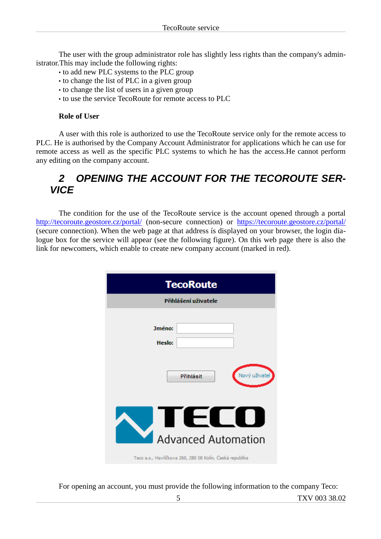The user with the group administrator role has slightly less rights than the company's administrator.This may include the following rights:

- to add new PLC systems to the PLC group
- to change the list of PLC in a given group
- to change the list of users in a given group
- to use the service TecoRoute for remote access to PLC

#### **Role of User**

A user with this role is authorized to use the TecoRoute service only for the remote access to PLC. He is authorised by the Company Account Administrator for applications which he can use for remote access as well as the specific PLC systems to which he has the access.He cannot perform any editing on the company account.

# **2 OPENING THE ACCOUNT FOR THE TECOROUTE SER-VICE**

The condition for the use of the TecoRoute service is the account opened through a portal http://tecoroute.geostore.cz/portal/ (non-secure connection) or https://tecoroute.geostore.cz/portal/ (secure connection). When the web page at that address ís displayed on your browser, the login dialogue box for the service will appear (see the following figure). On this web page there is also the link for newcomers, which enable to create new company account (marked in red).

| <b>TecoRoute</b>                                         |
|----------------------------------------------------------|
| Přihlášení uživatele                                     |
| Jméno:                                                   |
| Heslo:                                                   |
| Nový uživatel<br>Přihlásit                               |
| Advanced Automation                                      |
| Teco a.s., Havlíčkova 260, 280 58 Kolín, Česká republika |

For opening an account, you must provide the following information to the company Teco: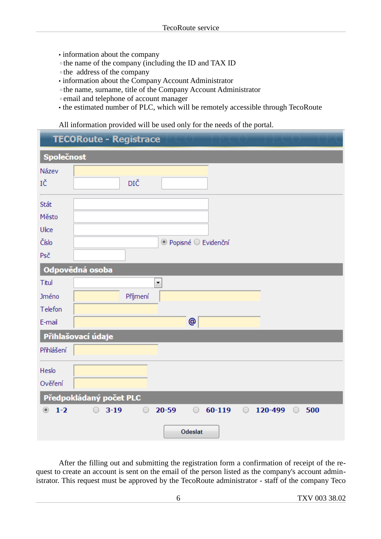- information about the company
- ◦the name of the company (including the ID and TAX ID
- ◦the address of the company
- information about the Company Account Administrator
- ◦the name, surname, title of the Company Account Administrator
- ◦email and telephone of account manager
- the estimated number of PLC, which will be remotely accessible through TecoRoute

All information provided will be used only for the needs of the portal.

|                     | <b>TECORoute - Registrace</b>                                                                    |
|---------------------|--------------------------------------------------------------------------------------------------|
| Společnost          |                                                                                                  |
| Název               |                                                                                                  |
| IČ                  | DIČ                                                                                              |
| Stát                |                                                                                                  |
| Město               |                                                                                                  |
| Ulice               |                                                                                                  |
| Číslo               | ⊙ Popisné ○ Evidenční                                                                            |
| Psč                 |                                                                                                  |
|                     | Odpovědná osoba                                                                                  |
| Titul               | $\overline{\phantom{a}}$                                                                         |
| Jméno               | Příjmení                                                                                         |
| Telefon             |                                                                                                  |
| E-mail              | @                                                                                                |
|                     | Přihlašovací údaje                                                                               |
| Přihlášení          |                                                                                                  |
| Heslo               |                                                                                                  |
| Ověření             |                                                                                                  |
|                     | Předpokládaný počet PLC                                                                          |
| $1-2$<br>$^{\circ}$ | $20 - 59$<br>60-119<br>120-499<br>$\bigcirc$<br>$3 - 19$<br>$\circ$<br>$\circ$<br>$\circ$<br>500 |
|                     | Odeslat                                                                                          |

After the filling out and submitting the registration form a confirmation of receipt of the request to create an account is sent on the email of the person listed as the company's account administrator. This request must be approved by the TecoRoute administrator - staff of the company Teco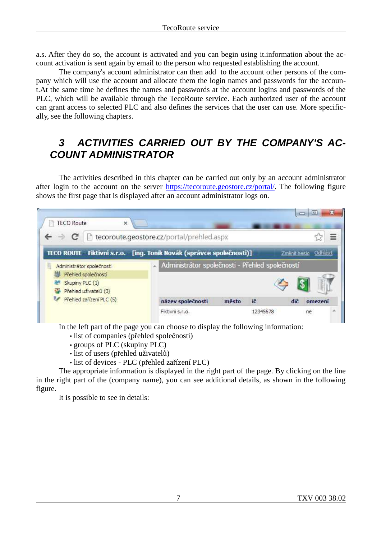a.s. After they do so, the account is activated and you can begin using it.information about the account activation is sent again by email to the person who requested establishing the account.

The company's account administrator can then add to the account other persons of the company which will use the account and allocate them the login names and passwords for the account.At the same time he defines the names and passwords at the account logins and passwords of the PLC, which will be available through the TecoRoute service. Each authorized user of the account can grant access to selected PLC and also defines the services that the user can use. More specifically, see the following chapters.

# **3 ACTIVITIES CARRIED OUT BY THE COMPANY'S AC-COUNT ADMINISTRATOR**

The activities described in this chapter can be carried out only by an account administrator after login to the account on the server https://tecoroute.geostore.cz/portal/. The following figure shows the first page that is displayed after an account administrator logs on.

| <b>TECO Route</b><br>$\times$                    |                                                                         |                       |
|--------------------------------------------------|-------------------------------------------------------------------------|-----------------------|
|                                                  | tecoroute.geostore.cz/portal/prehled.aspx                               |                       |
|                                                  | TECO ROUTE - Fiktivni s.r.o. - [ing. Tonik Novák (správce společnosti)] | Zmenit heslo Odhlasit |
| Administrátor společnosti<br>Přehled společností | A Administrátor společnosti - Přehled společností                       |                       |
|                                                  |                                                                         |                       |
| Skupiny PLC (1)<br>Přehled uživatelů (3)         |                                                                         |                       |
| Přehled zařízení PLC (5)                         | ič<br>název společnosti<br>město                                        | dič<br>omezení        |

In the left part of the page you can choose to display the following information:

- list of companies (přehled společností)
- groups of PLC (skupiny PLC)
- list of users (přehled uživatelů)
- list of devices PLC (přehled zařízení PLC)

The appropriate information is displayed in the right part of the page. By clicking on the line in the right part of the (company name), you can see additional details, as shown in the following figure.

It is possible to see in details: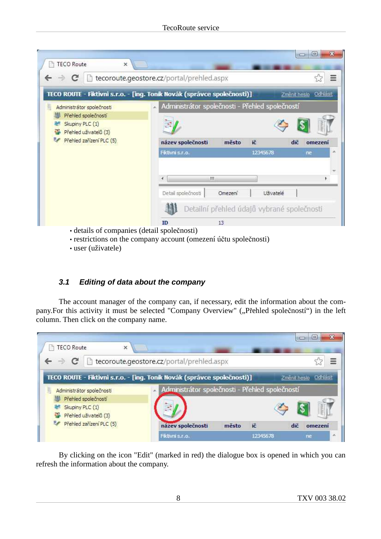| c                                                                                           | tecoroute.geostore.cz/portal/prehled.aspx       |                                                  |                          |
|---------------------------------------------------------------------------------------------|-------------------------------------------------|--------------------------------------------------|--------------------------|
| TECO ROUTE - Fiktivni s.r.o. - [ing. Toník Novák (správce společnosti)]                     |                                                 |                                                  | Odhlásit<br>Změnit heslo |
| Administrátor společnosti                                                                   | Administrátor společnosti - Přehled společností |                                                  |                          |
| Přehled společností<br>Skupiny PLC (1)<br>Přehled uživatelů (3)<br>Přehled zařízení PLC (5) |                                                 |                                                  |                          |
|                                                                                             | název společnosti<br>Fiktivni s.r.o.            | ič<br>město<br>12345678                          | dič<br>omezení<br>ne     |
|                                                                                             | m                                               |                                                  |                          |
|                                                                                             | Detail společnosti                              | Omezení<br>Uživatelé                             |                          |
|                                                                                             | ID                                              | Detailní přehled údajů vybrané společnosti<br>13 |                          |

- restrictions on the company account (omezení účtu společnosti)
- user (uživatele)

### **3.1 Editing of data about the company**

The account manager of the company can, if necessary, edit the information about the company.For this activity it must be selected "Company Overview" ("Přehled společností") in the left column. Then click on the company name.

| TECO Route<br>×                                  |                                                                         | $\equiv$  | E                   |
|--------------------------------------------------|-------------------------------------------------------------------------|-----------|---------------------|
|                                                  | tecoroute.geostore.cz/portal/prehled.aspx                               |           | Ξ                   |
|                                                  | TECO ROUTE - Fiktivni s.r.o. - [ing. Tonik Novák (správce společnosti)] |           | Zment heslo Odhlast |
| Administrátor společnosti<br>Přehled společností | Administrátor společnosti - Přehled společností                         |           |                     |
| Skupiny PLC (1)<br>Přehled uživatelů (3)         |                                                                         |           |                     |
| Přehled zařízení PLC (5)                         | název společnosti<br>město                                              | ič<br>dič | omezeni             |
|                                                  | Fiktivni s.r.o.                                                         | 12345678  | ne                  |

By clicking on the icon "Edit" (marked in red) the dialogue box is opened in which you can refresh the information about the company.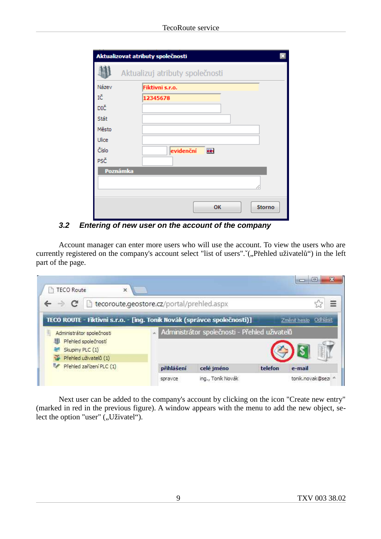|              | Aktualizovat atributy společnosti |
|--------------|-----------------------------------|
|              | Aktualizuj atributy společnosti   |
| Název        | Fiktivni s.r.o.                   |
| ΙČ           | 12345678                          |
| DIČ          |                                   |
| Stát         |                                   |
| Město        |                                   |
| <b>Ulice</b> |                                   |
| Číslo        | evidenční<br>墨                    |
| PSČ          |                                   |
| Poznámka     |                                   |
|              |                                   |
|              |                                   |
|              | OK<br><b>Storno</b>               |

**3.2 Entering of new user on the account of the company**

Account manager can enter more users who will use the account. To view the users who are currently registered on the company's account select "list of users". 
("Přehled uživatelů") in the left part of the page.

| C                         | tecoroute.geostore.cz/portal/prehled.aspx                               |                       |
|---------------------------|-------------------------------------------------------------------------|-----------------------|
|                           | TECO ROUTE - Fiktivni s.r.o. - [ing. Tonik Novák (správce společnosti)] | Zmenit heslo Odhlasit |
| Administrátor společnosti | Administrátor společnosti - Přehled uživatelů                           |                       |
| Přehled společností       |                                                                         |                       |
| Skupiny PLC (1)           |                                                                         |                       |
| Přehled uživatelů (1)     |                                                                         |                       |
| Přehled zařízení PLC (1)  | celé jméno<br>přihlášení                                                | telefon<br>e-mail     |

Next user can be added to the company's account by clicking on the icon "Create new entry" (marked in red in the previous figure). A window appears with the menu to add the new object, select the option "user" ("Uživatel").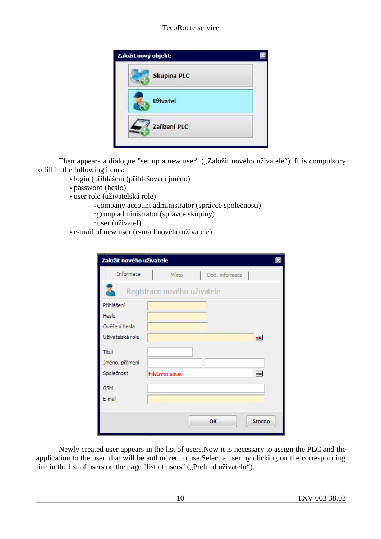| Založit nový objekt: |  |
|----------------------|--|
| <b>Skupina PLC</b>   |  |
| <b>Uživatel</b>      |  |
| Zařízení PLC         |  |

Then appears a dialogue "set up a new user" ("Založit nového uživatele"). It is compulsory to fill in the following items:

- login (přihlášení (přihlašovací jméno)
- password (heslo)
- user role (uživatelská role)
	- ◦company account administrator (správce společnosti)
	- ◦group administrator (správce skupiny)
	- ◦user (uživatel)
- e-mail of new user (e-mail nového uživatele)

| Založit nového uživatele |                             |  |
|--------------------------|-----------------------------|--|
| Informace                | Místo<br>Dod. informace     |  |
|                          | Registrace nového uživatele |  |
| Přihlášení               |                             |  |
| Heslo                    |                             |  |
| Ověření hesla            |                             |  |
| Uživatelská role         | <b>egy</b>                  |  |
| Titul                    |                             |  |
| Jméno, příjmení          |                             |  |
| Společnost               | 圛<br>Fiktivni s.r.o.        |  |
| <b>GSM</b>               |                             |  |
| E-mail                   |                             |  |
|                          |                             |  |
|                          | OK<br><b>Storno</b>         |  |

Newly created user appears in the list of users.Now it is necessary to assign the PLC and the application to the user, that will be authorized to use.Select a user by clicking on the corresponding line in the list of users on the page "list of users" ("Přehled uživatelů").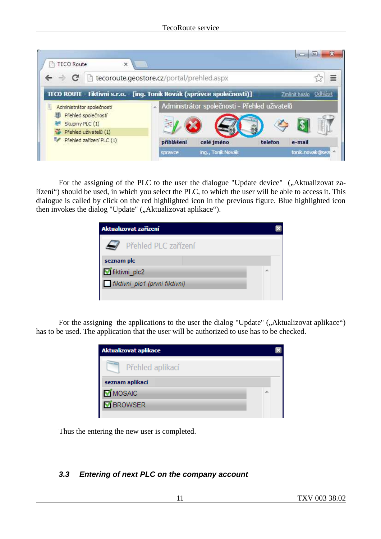| TECO ROUTE - Fiktivni s.r.o. - [ing. Tonik Novák (správce společnosti)]<br>Změnit heslo<br>Administrátor společnosti - Přehled uživatelů<br>Administrátor společnosti<br>Přehled společností<br>Skupiny PLC (1) |                       | tecoroute.geostore.cz/portal/prehled.aspx |          |
|-----------------------------------------------------------------------------------------------------------------------------------------------------------------------------------------------------------------|-----------------------|-------------------------------------------|----------|
|                                                                                                                                                                                                                 |                       |                                           | Odhlasit |
|                                                                                                                                                                                                                 |                       |                                           |          |
|                                                                                                                                                                                                                 | Přehled uživatelů (1) |                                           |          |

For the assigning of the PLC to the user the dialogue "Update device" ("Aktualizovat zařízení") should be used, in which you select the PLC, to which the user will be able to access it. This dialogue is called by click on the red highlighted icon in the previous figure. Blue highlighted icon then invokes the dialog "Update" ("Aktualizovat aplikace").

| Aktualizovat zařízení          |  |
|--------------------------------|--|
| Přehled PLC zařízení           |  |
| seznam plc                     |  |
| fiktivni plc2                  |  |
| fiktivni plc1 (prvni fiktivni) |  |
|                                |  |

For the assigning the applications to the user the dialog "Update" (, Aktualizovat aplikace") has to be used. The application that the user will be authorized to use has to be checked.

| <b>Aktualizovat aplikace</b> |  |
|------------------------------|--|
| Přehled aplikací             |  |
| seznam aplikací              |  |
| <b>MOSAIC</b>                |  |
| <b>M</b> BROWSER             |  |
|                              |  |

Thus the entering the new user is completed.

## **3.3 Entering of next PLC on the company account**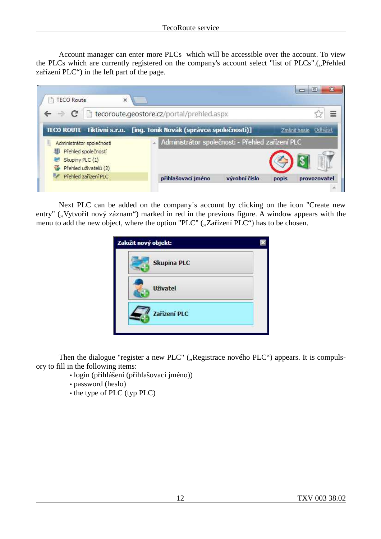Account manager can enter more PLCs which will be accessible over the account. To view the PLCs which are currently registered on the company's account select "list of PLCs".("Přehled zařízení PLC") in the left part of the page.

| c                                                                                            | tecoroute.geostore.cz/portal/prehled.aspx                               |                          |
|----------------------------------------------------------------------------------------------|-------------------------------------------------------------------------|--------------------------|
|                                                                                              | TECO ROUTE - Fiktivni s.r.o. - [ing. Tonik Novák (správce společnosti)] | Zmenit hesio<br>Odhlasit |
| Administrátor společnosti<br>Přehled společností<br>Skupiny PLC (1)<br>Přehled uživatelů (2) | A Administrátor společnosti - Přehled zařízení PLC                      |                          |

Next PLC can be added on the company´s account by clicking on the icon "Create new entry" ("Vytvořit nový záznam") marked in red in the previous figure. A window appears with the menu to add the new object, where the option "PLC"  $($ "Zařízení PLC") has to be chosen.

Then the dialogue "register a new PLC" ("Registrace nového PLC") appears. It is compulsory to fill in the following items:

- login (přihlášení (přihlašovací jméno))
- password (heslo)
- the type of PLC (typ PLC)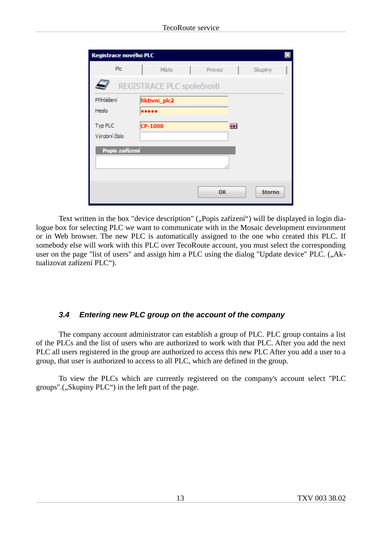| Registrace nového PLC |                            |        |   |               |
|-----------------------|----------------------------|--------|---|---------------|
| Plc                   | Místo                      | Provoz |   | Skupiny       |
|                       | REGISTRACE PLC společnosti |        |   |               |
| Přihlášení            | fiktivni_plc2              |        |   |               |
| Heslo                 |                            |        |   |               |
| Typ PLC               | CP-1000                    |        | ▦ |               |
| Výrobní číslo         |                            |        |   |               |
| Popis zařízení        |                            |        |   |               |
|                       |                            |        |   |               |
|                       |                            |        |   |               |
|                       |                            | OK     |   | <b>Storno</b> |

Text written in the box "device description" ("Popis zařízení") will be displayed in login dialogue box for selecting PLC we want to communicate with in the Mosaic development environment or in Web browser. The new PLC is automatically assigned to the one who created this PLC. If somebody else will work with this PLC over TecoRoute account, you must select the corresponding user on the page "list of users" and assign him a PLC using the dialog "Update device" PLC. ("Aktualizovat zařízení PLC").

### **3.4 Entering new PLC group on the account of the company**

The company account administrator can establish a group of PLC. PLC group contains a list of the PLCs and the list of users who are authorized to work with that PLC. After you add the next PLC all users registered in the group are authorized to access this new PLC After you add a user to a group, that user is authorized to access to all PLC, which are defined in the group.

To view the PLCs which are currently registered on the company's account select "PLC groups".("Skupiny PLC") in the left part of the page.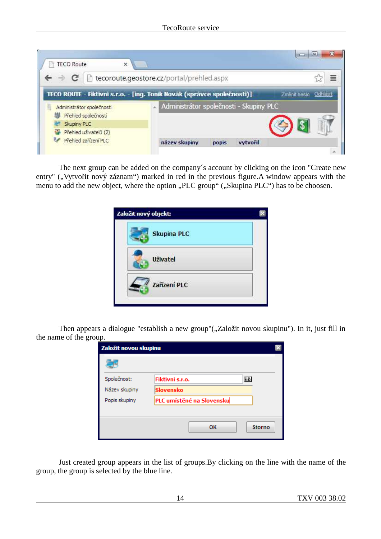| <b>TECO Route</b><br>×             |                                                                         |                          |
|------------------------------------|-------------------------------------------------------------------------|--------------------------|
|                                    | tecoroute.geostore.cz/portal/prehled.aspx                               |                          |
|                                    | TECO ROUTE - Fiktivni s.r.o. - [ing. Toník Novák (správce společnosti)] | Zmenit heslo<br>Odhlasit |
|                                    | Administrátor společnosti - Skupiny PLC                                 |                          |
| Administrator společnosti          |                                                                         |                          |
| Přehled společností<br>Skupiny PLC |                                                                         |                          |
| Přehled uživatelů (2)              |                                                                         |                          |

The next group can be added on the company´s account by clicking on the icon "Create new entry" ("Vytvořit nový záznam") marked in red in the previous figure.A window appears with the menu to add the new object, where the option "PLC group" ("Skupina PLC") has to be choosen.

Then appears a dialogue "establish a new group"("Založit novou skupinu"). In it, just fill in the name of the group.

| Založit novou skupinu |                           |        |
|-----------------------|---------------------------|--------|
|                       |                           |        |
| Společnost:           | Fiktivni s.r.o.           | 壨      |
| Název skupiny         | Slovensko                 |        |
| Popis skupiny         | PLC umístěné na Slovensku |        |
|                       |                           |        |
|                       | OK                        | Storno |

Just created group appears in the list of groups.By clicking on the line with the name of the group, the group is selected by the blue line.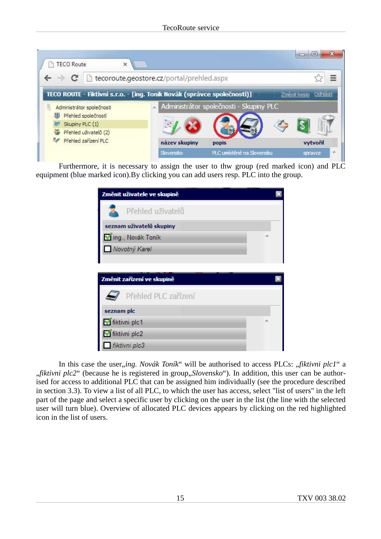| С                                      | tecoroute.geostore.cz/portal/prehled.aspx                               | ≣                        |
|----------------------------------------|-------------------------------------------------------------------------|--------------------------|
|                                        | TECO ROUTE - Fiktivni s.r.o. - [ing. Toník Novák (správce společnosti)] | Zmenit heslo<br>Odhlasit |
| Administrátor společnosti              | Administrátor společnosti - Skupiny PLC                                 |                          |
|                                        |                                                                         |                          |
| Přehled společností<br>Skupiny PLC (1) |                                                                         |                          |
| Přehled uživatelů (2)                  |                                                                         |                          |
| Přehled zařízení PLC                   | název skupiny<br>popis                                                  | vytvořil                 |

Furthermore, it is necessary to assign the user to thw group (red marked icon) and PLC equipment (blue marked icon).By clicking you can add users resp. PLC into the group.

| Změnit uživatele ve skupině |   |
|-----------------------------|---|
| Přehled uživatelů           |   |
| seznam uživatelů skupiny    |   |
| ing., Novák Toník           |   |
| Novotný Karel               |   |
|                             |   |
|                             |   |
| Změnit zařízení ve skupině  |   |
| Přehled PLC zařízení        |   |
| seznam plc                  |   |
| fiktivni plc1               | ∸ |
| fiktivni plc2               |   |
| fiktivni plc3               |   |

In this case the user, *ing. Novák Toník*" will be authorised to access PLCs: "*fiktivni plc1*" a "*fiktivni plc2*" (because he is registered in group, *Slovensko*"). In addition, this user can be authorised for access to additional PLC that can be assigned him individually (see the procedure described in section 3.3). To view a list of all PLC, to which the user has access, select "list of users" in the left part of the page and select a specific user by clicking on the user in the list (the line with the selected user will turn blue). Overview of allocated PLC devices appears by clicking on the red highlighted icon in the list of users.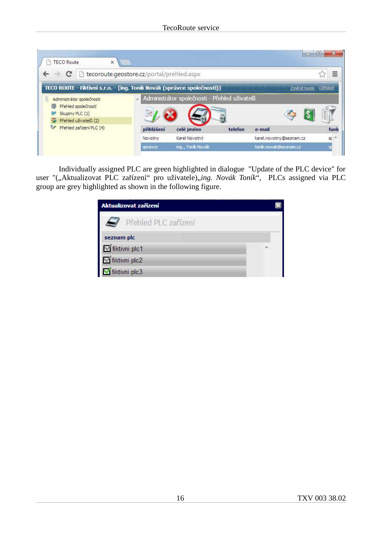| TECO Route<br>×                                                                              |            |                                               |         |                         | $\overline{\mathbf{x}}$<br>$\Box$ |
|----------------------------------------------------------------------------------------------|------------|-----------------------------------------------|---------|-------------------------|-----------------------------------|
| tecoroute.geostore.cz/portal/prehled.aspx<br>c                                               |            |                                               |         |                         | E                                 |
| TECO ROUTE - Fiktivni s.r.o. - [ing. Tonik Novák (správce společnosti)]                      |            |                                               |         | Zmenit heslo Odhlásit   |                                   |
| Administrátor společnosti<br>Přehled společností<br>Skupiny PLC (1)<br>Přehled uživatelů (2) |            | Administrátor společnosti - Přehled uživatelů |         |                         |                                   |
| Přehled zařízení PLC (4)                                                                     | přihlášení | celé iméno                                    | telefon | e-mail                  | funk                              |
|                                                                                              | Novotny    | Karel Novotný                                 |         | karel.novotny@seznam.cz | sp                                |
|                                                                                              | spravce    | ing., Tonik Novák                             |         | tonik.novak@seznam.cz   |                                   |

Individually assigned PLC are green highlighted in dialogue "Update of the PLC device" for user "("Aktualizovat PLC zařízení" pro uživatele)"ing. Novák Toník", PLCs assigned via PLC group are grey highlighted as shown in the following figure.

| Aktualizovat zařízení              |  |
|------------------------------------|--|
| Přehled PLC zařízení               |  |
| seznam plc                         |  |
|                                    |  |
| ■ fiktivni plc1<br>■ fiktivni plc2 |  |
| fiktivni plc3                      |  |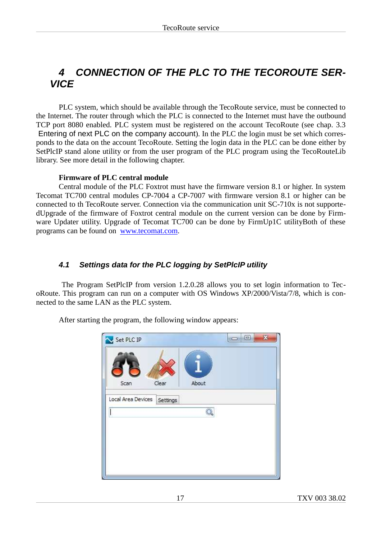# **4 CONNECTION OF THE PLC TO THE TECOROUTE SER-VICE**

PLC system, which should be available through the TecoRoute service, must be connected to the Internet. The router through which the PLC is connected to the Internet must have the outbound TCP port 8080 enabled. PLC system must be registered on the account TecoRoute (see chap. 3.3 Entering of next PLC on the company account). In the PLC the login must be set which corresponds to the data on the account TecoRoute. Setting the login data in the PLC can be done either by SetPlcIP stand alone utility or from the user program of the PLC program using the TecoRouteLib library. See more detail in the following chapter.

#### **Firmware of PLC central module**

Central module of the PLC Foxtrot must have the firmware version 8.1 or higher. In system Tecomat TC700 central modules CP-7004 a CP-7007 with firmware version 8.1 or higher can be connected to th TecoRoute server. Connection via the communication unit SC-710x is not supportedUpgrade of the firmware of Foxtrot central module on the current version can be done by Firmware Updater utility. Upgrade of Tecomat TC700 can be done by FirmUp1C utilityBoth of these programs can be found on www.tecomat.com.

### **4.1 Settings data for the PLC logging by SetPlcIP utility**

 The Program SetPlcIP from version 1.2.0.28 allows you to set login information to TecoRoute. This program can run on a computer with OS Windows XP/2000/Vista/7/8, which is connected to the same LAN as the PLC system.

After starting the program, the following window appears:

| Set PLC IP         |                | X<br>ه ده |
|--------------------|----------------|-----------|
|                    |                |           |
| Scan               | About<br>Clear |           |
| Local Area Devices | Settings       |           |
|                    |                |           |
|                    |                |           |
|                    |                |           |
|                    |                |           |
|                    |                |           |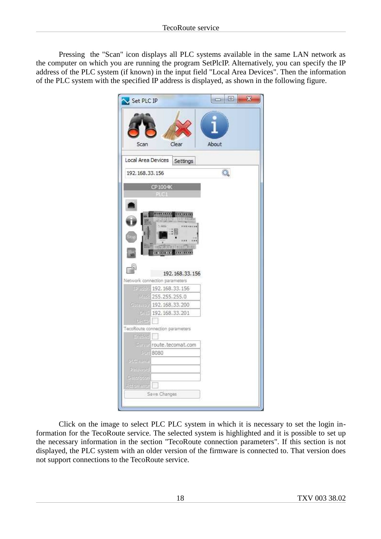Pressing the "Scan" icon displays all PLC systems available in the same LAN network as the computer on which you are running the program SetPlcIP. Alternatively, you can specify the IP address of the PLC system (if known) in the input field "Local Area Devices". Then the information of the PLC system with the specified IP address is displayed, as shown in the following figure.

| Set PLC IP                     |                                 |       | 回<br><b>CONNE</b> | $\mathbf{x}$ |
|--------------------------------|---------------------------------|-------|-------------------|--------------|
| Scan                           | Clear                           | About |                   |              |
| Local Area Devices             | Settings                        |       |                   |              |
| 192, 168, 33, 156              |                                 |       | Q                 |              |
|                                | CP1004K                         |       |                   |              |
|                                | PE 841                          |       |                   |              |
|                                |                                 |       |                   |              |
|                                | 8244.1449.1<br>12373333         |       |                   |              |
|                                |                                 |       |                   |              |
|                                |                                 |       |                   |              |
|                                |                                 |       |                   |              |
|                                | on the mail and there.          |       |                   |              |
|                                | <b>TECHANT</b><br>01323199      |       |                   |              |
|                                |                                 |       |                   |              |
|                                | 192, 168, 33, 156               |       |                   |              |
|                                | Network connection parameters   |       |                   |              |
|                                | FREDER 192.168.33.156           |       |                   |              |
| Mark .                         | 255.255.255.0                   |       |                   |              |
| Gemile)                        | 192, 168, 33, 200               |       |                   |              |
| <b>DNB</b>                     | 192.168.33.201                  |       |                   |              |
| 日刊生                            |                                 |       |                   |              |
|                                | TecoRoute connection parameters |       |                   |              |
| Ernbled                        |                                 |       |                   |              |
|                                |                                 |       |                   |              |
| <b>Rom</b>                     | Server route, tecomat, com      |       |                   |              |
|                                | 8080                            |       |                   |              |
| PIG listes<br><b>Panily of</b> |                                 |       |                   |              |
|                                |                                 |       |                   |              |
| <b>Cascious</b>                |                                 |       |                   |              |
| <b>MARE U</b>                  | Save Changes                    |       |                   |              |

Click on the image to select PLC PLC system in which it is necessary to set the login information for the TecoRoute service. The selected system is highlighted and it is possible to set up the necessary information in the section "TecoRoute connection parameters". If this section is not displayed, the PLC system with an older version of the firmware is connected to. That version does not support connections to the TecoRoute service.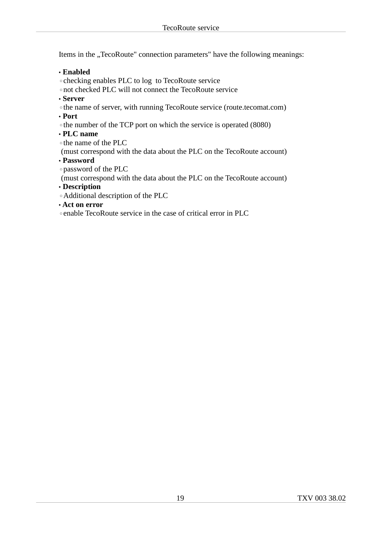Items in the "TecoRoute" connection parameters" have the following meanings:

### • **Enabled**

◦checking enables PLC to log to TecoRoute service

◦not checked PLC will not connect the TecoRoute service

• **Server**

◦the name of server, with running TecoRoute service (route.tecomat.com)

• **Port**

◦the number of the TCP port on which the service is operated (8080)

• **PLC name**

◦the name of the PLC

(must correspond with the data about the PLC on the TecoRoute account)

• **Password**

◦password of the PLC

(must correspond with the data about the PLC on the TecoRoute account)

• **Description**

◦Additional description of the PLC

• **Act on error**

◦enable TecoRoute service in the case of critical error in PLC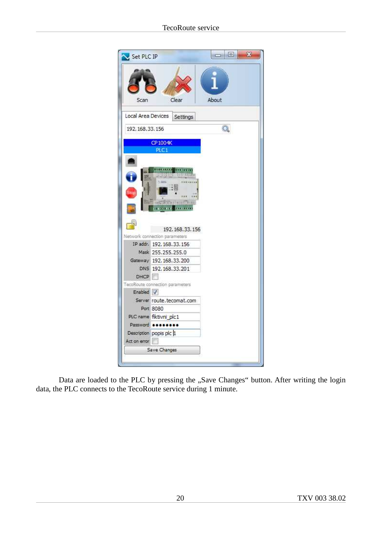

Data are loaded to the PLC by pressing the "Save Changes" button. After writing the login data, the PLC connects to the TecoRoute service during 1 minute.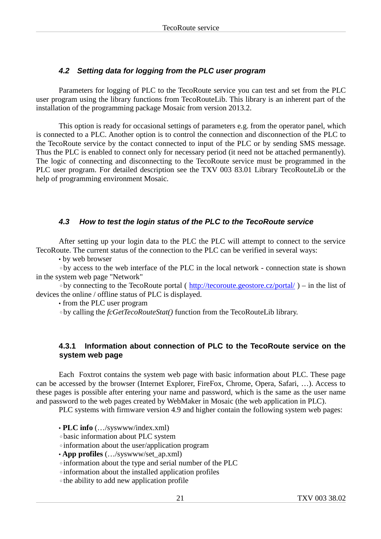## **4.2 Setting data for logging from the PLC user program**

Parameters for logging of PLC to the TecoRoute service you can test and set from the PLC user program using the library functions from TecoRouteLib. This library is an inherent part of the installation of the programming package Mosaic from version 2013.2.

This option is ready for occasional settings of parameters e.g. from the operator panel, which is connected to a PLC. Another option is to control the connection and disconnection of the PLC to the TecoRoute service by the contact connected to input of the PLC or by sending SMS message. Thus the PLC is enabled to connect only for necessary period (it need not be attached permanently). The logic of connecting and disconnecting to the TecoRoute service must be programmed in the PLC user program. For detailed description see the TXV 003 83.01 Library TecoRouteLib or the help of programming environment Mosaic.

## **4.3 How to test the login status of the PLC to the TecoRoute service**

After setting up your login data to the PLC the PLC will attempt to connect to the service TecoRoute. The current status of the connection to the PLC can be verified in several ways:

• by web browser

◦by access to the web interface of the PLC in the local network - connection state is shown in the system web page "Network"

◦by connecting to the TecoRoute portal ( http://tecoroute.geostore.cz/portal/ ) – in the list of devices the online / offline status of PLC is displayed.

• from the PLC user program

◦by calling the *fcGetTecoRouteStat()* function from the TecoRouteLib library.

### **4.3.1 Information about connection of PLC to the TecoRoute service on the system web page**

Each Foxtrot contains the system web page with basic information about PLC. These page can be accessed by the browser (Internet Explorer, FireFox, Chrome, Opera, Safari, …). Access to these pages is possible after entering your name and password, which is the same as the user name and password to the web pages created by WebMaker in Mosaic (the web application in PLC).

PLC systems with firmware version 4.9 and higher contain the following system web pages:

• **PLC info** (…/syswww/index.xml)

◦basic information about PLC system

◦information about the user/application program

• **App profiles** (.../syswww/set ap.xml)

◦information about the type and serial number of the PLC

◦information about the installed application profiles

◦the ability to add new application profile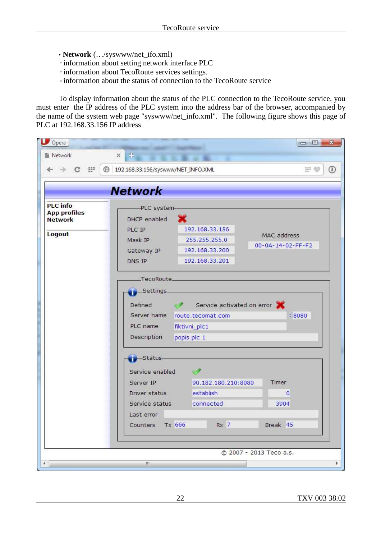- • **Network** (…/syswww/net\_ifo.xml)
- ◦information about setting network interface PLC
- ◦information about TecoRoute services settings.
- ◦information about the status of connection to the TecoRoute service

To display information about the status of the PLC connection to the TecoRoute service, you must enter the IP address of the PLC system into the address bar of the browser, accompanied by the name of the system web page "syswww/net info.xml". The following figure shows this page of PLC at 192.168.33.156 IP address

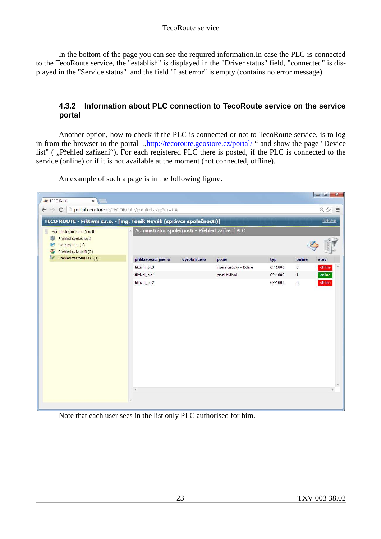In the bottom of the page you can see the required information.In case the PLC is connected to the TecoRoute service, the "establish" is displayed in the "Driver status" field, "connected" is displayed in the "Service status" and the field "Last error" is empty (contains no error message).

#### **4.3.2 Information about PLC connection to TecoRoute service on the service portal**

Another option, how to check if the PLC is connected or not to TecoRoute service, is to log in from the browser to the portal  $\frac{h}{h}$ .http://tecoroute.geostore.cz/portal/ " and show the page "Device list" ( "Přehled zařízení"). For each registered PLC there is posted, if the PLC is connected to the service (online) or if it is not available at the moment (not connected, offline).

An example of such a page is in the following figure.



Note that each user sees in the list only PLC authorised for him.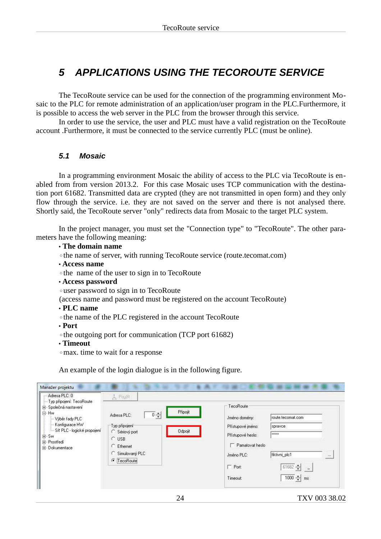# **5 APPLICATIONS USING THE TECOROUTE SERVICE**

The TecoRoute service can be used for the connection of the programming environment Mosaic to the PLC for remote administration of an application/user program in the PLC.Furthermore, it is possible to access the web server in the PLC from the browser through this service.

In order to use the service, the user and PLC must have a valid registration on the TecoRoute account .Furthermore, it must be connected to the service currently PLC (must be online).

### **5.1 Mosaic**

In a programming environment Mosaic the ability of access to the PLC via TecoRoute is enabled from from version 2013.2. For this case Mosaic uses TCP communication with the destination port 61682. Transmitted data are crypted (they are not transmitted in open form) and they only flow through the service. i.e. they are not saved on the server and there is not analysed there. Shortly said, the TecoRoute server "only" redirects data from Mosaic to the target PLC system.

In the project manager, you must set the "Connection type" to "TecoRoute". The other parameters have the following meaning:

• **The domain name**

◦the name of server, with running TecoRoute service (route.tecomat.com)

- • **Access name**
- ◦the name of the user to sign in to TecoRoute
- • **Access password**
- ◦user password to sign in to TecoRoute

(access name and password must be registered on the account TecoRoute)

- • **PLC name**
- ◦the name of the PLC registered in the account TecoRoute

• **Port**

◦the outgoing port for communication (TCP port 61682)

#### • **Timeout**

◦max. time to wait for a response

An example of the login dialogue is in the following figure.

| Adresa PLC: 0                                                                                                                                                                    | 人 Použit                                                                                                                                                                                    |                                                                                                                                                                                                                                 |                               |
|----------------------------------------------------------------------------------------------------------------------------------------------------------------------------------|---------------------------------------------------------------------------------------------------------------------------------------------------------------------------------------------|---------------------------------------------------------------------------------------------------------------------------------------------------------------------------------------------------------------------------------|-------------------------------|
| Typ připojení: TecoRoute<br>Společná nastavení<br>Ė<br>白·Hw<br>- Výběr řady PLC<br>Konfigurace HW<br>Sít PLC - logické propojení<br>E-Sw<br>E-Prostředí<br><b>i</b> -Dokumentace | Připojit<br>$\overline{0}$ $\div$<br>Adresa PLC:<br>Typ připojení <sup>-</sup><br><b>Odpojit</b><br>Sériový port<br>c<br>$C$ USB<br>C<br>Ethernet<br>Símulovaný PLC<br>C.<br>G<br>TecoRoute | TecoRoute<br>route.tecomat.com<br>Jméno domény:<br>Přístupové jméno:<br>spravce<br><b>xxxxx</b><br>Přístupové heslo:<br>Pamatovat heslo<br>fiktivni_plc1<br>Jméno PLC:<br>$\Gamma$ Port:<br>$61682 -$<br>$1000 - 1$<br>Timeout: | $\frac{1}{2}$<br>$\sim$<br>ms |

24 TXV 003 38.02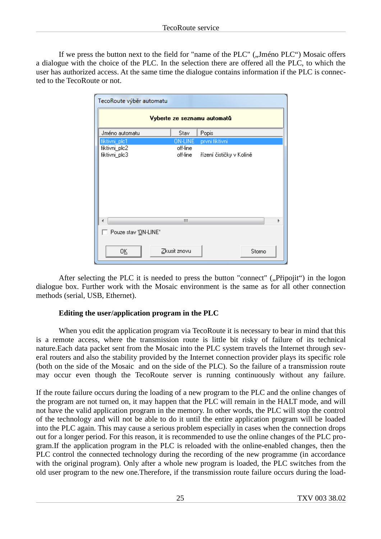If we press the button next to the field for "name of the PLC" ("Jméno PLC") Mosaic offers a dialogue with the choice of the PLC. In the selection there are offered all the PLC, to which the user has authorized access. At the same time the dialogue contains information if the PLC is connected to the TecoRoute or not.

| TecoRoute výběr automatu       |                      |                          |  |  |  |
|--------------------------------|----------------------|--------------------------|--|--|--|
| Vyberte ze seznamu automatů    |                      |                          |  |  |  |
| Jméno automatu                 | Stav                 | Popis                    |  |  |  |
| fiktivni_plc1                  | <b>ON-LINE</b>       | první fiktivní           |  |  |  |
| fiktivni_plc2<br>fiktivni_plc3 | off-line<br>off-line | řízení čističky v Kolíně |  |  |  |
|                                | Ш                    |                          |  |  |  |
|                                |                      |                          |  |  |  |
| Pouze stav 'ON-LINE'           |                      |                          |  |  |  |
| OΚ                             | Zkusit znovu         | Storno                   |  |  |  |

After selecting the PLC it is needed to press the button "connect"  $($ . Pripojit $'$ ) in the logon dialogue box. Further work with the Mosaic environment is the same as for all other connection methods (serial, USB, Ethernet).

### **Editing the user/application program in the PLC**

When you edit the application program via TecoRoute it is necessary to bear in mind that this is a remote access, where the transmission route is little bit risky of failure of its technical nature.Each data packet sent from the Mosaic into the PLC system travels the Internet through several routers and also the stability provided by the Internet connection provider plays its specific role (both on the side of the Mosaic and on the side of the PLC). So the failure of a transmission route may occur even though the TecoRoute server is running continuously without any failure.

If the route failure occurs during the loading of a new program to the PLC and the online changes of the program are not turned on, it may happen that the PLC will remain in the HALT mode, and will not have the valid application program in the memory. In other words, the PLC will stop the control of the technology and will not be able to do it until the entire application program will be loaded into the PLC again. This may cause a serious problem especially in cases when the connection drops out for a longer period. For this reason, it is recommended to use the online changes of the PLC program.If the application program in the PLC is reloaded with the online-enabled changes, then the PLC control the connected technology during the recording of the new programme (in accordance with the original program). Only after a whole new program is loaded, the PLC switches from the old user program to the new one.Therefore, if the transmission route failure occurs during the load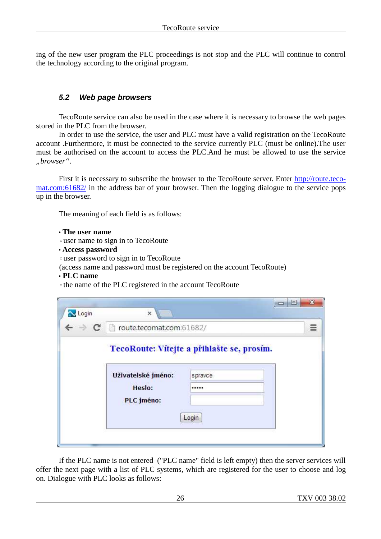ing of the new user program the PLC proceedings is not stop and the PLC will continue to control the technology according to the original program.

### **5.2 Web page browsers**

TecoRoute service can also be used in the case where it is necessary to browse the web pages stored in the PLC from the browser.

In order to use the service, the user and PLC must have a valid registration on the TecoRoute account .Furthermore, it must be connected to the service currently PLC (must be online).The user must be authorised on the account to access the PLC.And he must be allowed to use the service *"browser"*.

First it is necessary to subscribe the browser to the TecoRoute server. Enter http://route.teco mat.com:61682/ in the address bar of your browser. Then the logging dialogue to the service pops up in the browser.

The meaning of each field is as follows:

#### • **The user name**

◦user name to sign in to TecoRoute

• **Access password**

◦user password to sign in to TecoRoute

(access name and password must be registered on the account TecoRoute)

- • **PLC name**
- ◦the name of the PLC registered in the account TecoRoute

| Login                           | $\times$                                   | E<br><b>COL</b>                                                    | $\mathbf{x}$ |
|---------------------------------|--------------------------------------------|--------------------------------------------------------------------|--------------|
| $\leftarrow$ $\rightarrow$<br>C | route.tecomat.com:61682/                   |                                                                    | Ξ            |
|                                 | Uživatelské jméno:<br>Heslo:<br>PLC jméno: | TecoRoute: Vítejte a přihlašte se, prosím.<br>spravce<br><br>Login |              |

If the PLC name is not entered ("PLC name" field is left empty) then the server services will offer the next page with a list of PLC systems, which are registered for the user to choose and log on. Dialogue with PLC looks as follows: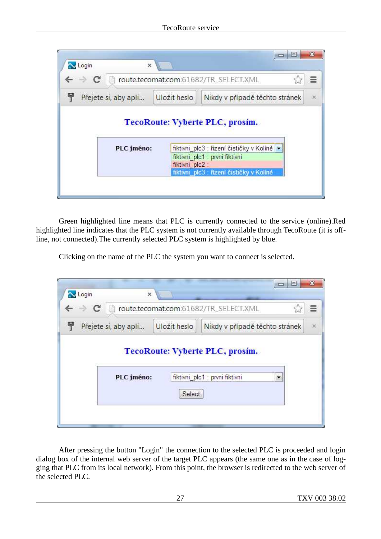|                      |               | route.tecomat.com:61682/TR_SELECT.XML      | Ξ        |
|----------------------|---------------|--------------------------------------------|----------|
| Přejete si, aby apli | Uložit heslo  | Nikdy v případě těchto stránek             | $\infty$ |
|                      |               | TecoRoute: Vyberte PLC, prosim.            |          |
| PLC jméno:           |               | fiktivni plc3 : řízení čističky v Kolíně → |          |
|                      | fiktivni plc2 | fiktivni_plc1 : prvni fiktivni             |          |

Green highlighted line means that PLC is currently connected to the service (online).Red highlighted line indicates that the PLC system is not currently available through TecoRoute (it is offline, not connected).The currently selected PLC system is highlighted by blue.

Clicking on the name of the PLC the system you want to connect is selected.

| Login<br>C<br>$\rightarrow$ | $\times$             |              | $\Box$<br>▭<br>route.tecomat.com:61682/TR_SELECT.XML<br>≡              |
|-----------------------------|----------------------|--------------|------------------------------------------------------------------------|
|                             | Přejete si, aby apli | Uložit heslo | Nikdy v případě těchto stránek<br>$\infty$                             |
|                             | PLC jméno:           |              | TecoRoute: Vyberte PLC, prosim.<br>fiktivni plc1 : prvni fiktivni<br>▼ |
|                             |                      |              |                                                                        |

After pressing the button "Login" the connection to the selected PLC is proceeded and login dialog box of the internal web server of the target PLC appears (the same one as in the case of logging that PLC from its local network). From this point, the browser is redirected to the web server of the selected PLC.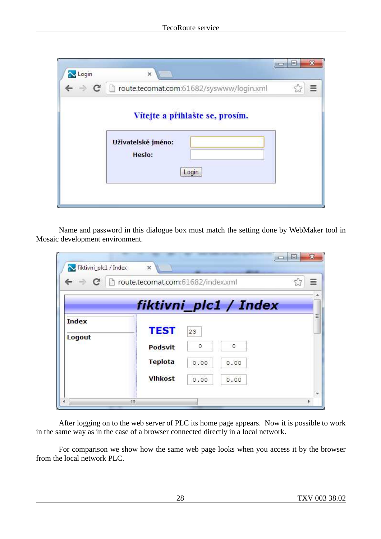| Login                      | ×                                                                        | $\blacksquare$ |  |
|----------------------------|--------------------------------------------------------------------------|----------------|--|
| $\leftarrow$ $\rightarrow$ | C   houte.tecomat.com:61682/syswww/login.xml                             |                |  |
|                            | Vítejte a přihlašte se, prosím.<br>Uživatelské jméno:<br>Heslo:<br>Login |                |  |

Name and password in this dialogue box must match the setting done by WebMaker tool in Mosaic development environment.

| fiktivni_plc1 / Index<br>$\leftarrow$ $\rightarrow$ C | $\times$<br>route.tecomat.com:61682/index.xml |              |              | Ξ |
|-------------------------------------------------------|-----------------------------------------------|--------------|--------------|---|
| <b>Index</b>                                          | fiktivni_plc1 / Index<br><b>TEST</b>          |              |              |   |
| Logout                                                | Podsvit                                       | 23<br>0      | 0            |   |
|                                                       | <b>Teplota</b><br><b>Vlhkost</b>              | 0.00<br>0.00 | 0.00<br>0.00 |   |
|                                                       |                                               |              |              |   |

After logging on to the web server of PLC its home page appears. Now it is possible to work in the same way as in the case of a browser connected directly in a local network.

For comparison we show how the same web page looks when you access it by the browser from the local network PLC.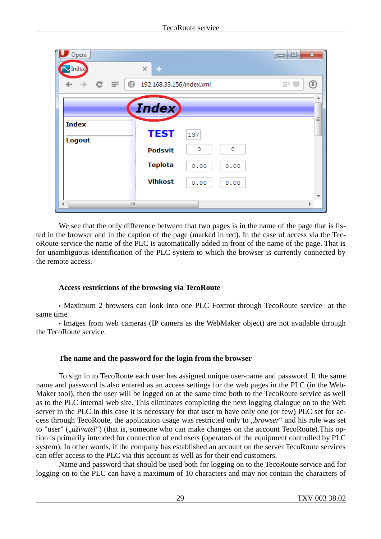| Opera                  |                                | X<br>▣<br>$\Box$ |
|------------------------|--------------------------------|------------------|
| Index                  | ÷<br>×                         |                  |
| ₩<br>C<br>⊛            | 192.168.33.156/index.xml       | 쁣<br>Œ           |
|                        | <b>Index</b>                   | Ξ                |
| <b>Index</b><br>Logout | <b>TEST</b><br>137             |                  |
|                        | 0<br>0<br><b>Podsvit</b>       |                  |
|                        | <b>Teplota</b><br>0.00<br>0.00 |                  |
|                        | <b>Vlhkost</b><br>0.00<br>0.00 |                  |
| Ш<br>∢                 |                                |                  |

We see that the only difference between that two pages is in the name of the page that is listed in the browser and in the caption of the page (marked in red). In the case of access via the TecoRoute service the name of the PLC is automatically added in front of the name of the page. That is for unambiguous identification of the PLC system to which the browser is currently connected by the remote access.

#### **Access restrictions of the browsing via TecoRoute**

• Maximum 2 browsers can look into one PLC Foxtrot through TecoRoute service at the same time

• Images from web cameras (IP camera as the WebMaker object) are not available through the TecoRoute service.

#### **The name and the password for the login from the browser**

To sign in to TecoRoute each user has assigned unique user-name and password. If the same name and password is also entered as an access settings for the web pages in the PLC (in the Web-Maker tool), then the user will be logged on at the same time both to the TecoRoute service as well as to the PLC internal web site. This eliminates completing the next logging dialogue on to the Web server in the PLC.In this case it is necessary for that user to have only one (or few) PLC set for access through TecoRoute, the application usage was restricted only to "*browser*" and his role was set to "user" (*"uživatel*") (that is, someone who can make changes on the account TecoRoute). This option is primarily intended for connection of end users (operators of the equipment controlled by PLC system). In other words, if the company has established an account on the server TecoRoute services can offer access to the PLC via this account as well as for their end customers.

Name and password that should be used both for logging on to the TecoRoute service and for logging on to the PLC can have a maximum of 10 characters and may not contain the characters of